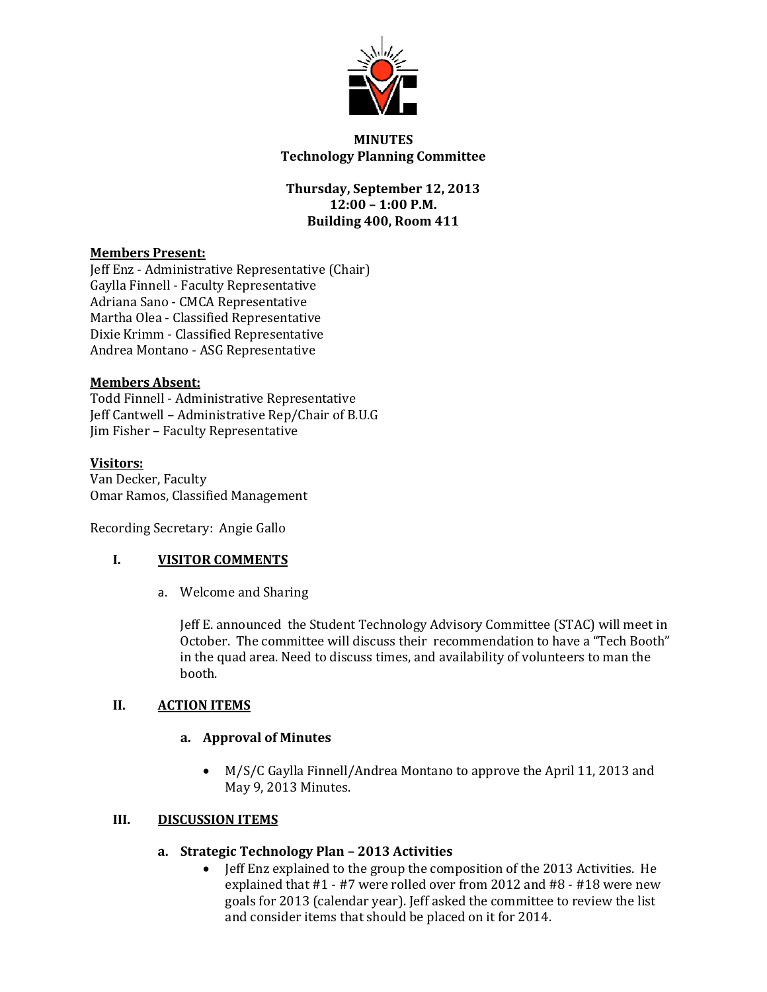

## **MINUTES Technology Planning Committee**

# **Thursday, September 12, 2013 12:00 – 1:00 P.M. Building 400, Room 411**

## **Members Present:**

Jeff Enz - Administrative Representative (Chair) Gaylla Finnell - Faculty Representative Adriana Sano - CMCA Representative Martha Olea - Classified Representative Dixie Krimm - Classified Representative Andrea Montano - ASG Representative

## **Members Absent:**

Todd Finnell - Administrative Representative Jeff Cantwell – Administrative Rep/Chair of B.U.G Jim Fisher – Faculty Representative

## **Visitors:**

Van Decker, Faculty Omar Ramos, Classified Management

Recording Secretary: Angie Gallo

## **I. VISITOR COMMENTS**

a. Welcome and Sharing

Jeff E. announced the Student Technology Advisory Committee (STAC) will meet in October. The committee will discuss their recommendation to have a "Tech Booth" in the quad area. Need to discuss times, and availability of volunteers to man the booth.

## **II. ACTION ITEMS**

## **a. Approval of Minutes**

 M/S/C Gaylla Finnell/Andrea Montano to approve the April 11, 2013 and May 9, 2013 Minutes.

## **III. DISCUSSION ITEMS**

- **a. Strategic Technology Plan – 2013 Activities**
	- Jeff Enz explained to the group the composition of the 2013 Activities. He explained that #1 - #7 were rolled over from 2012 and #8 - #18 were new goals for 2013 (calendar year). Jeff asked the committee to review the list and consider items that should be placed on it for 2014.